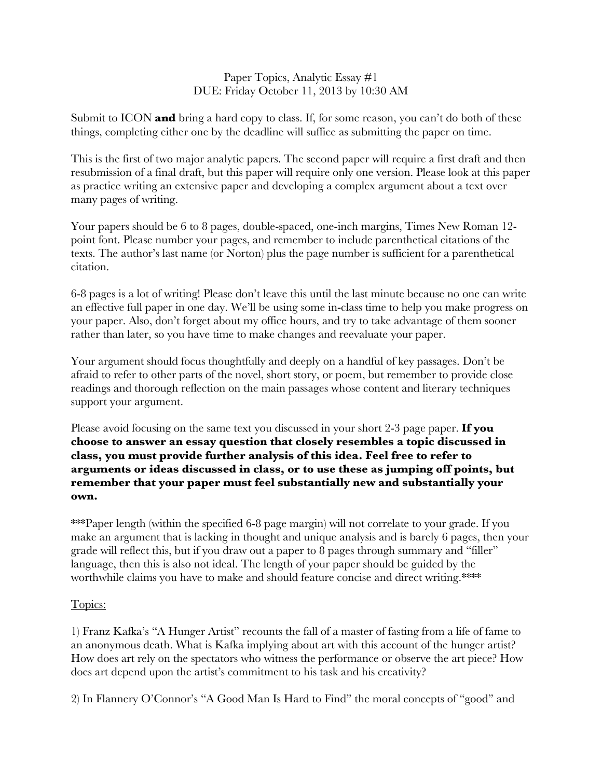## Paper Topics, Analytic Essay #1 DUE: Friday October 11, 2013 by 10:30 AM

Submit to ICON **and** bring a hard copy to class. If, for some reason, you can't do both of these things, completing either one by the deadline will suffice as submitting the paper on time.

This is the first of two major analytic papers. The second paper will require a first draft and then resubmission of a final draft, but this paper will require only one version. Please look at this paper as practice writing an extensive paper and developing a complex argument about a text over many pages of writing.

Your papers should be 6 to 8 pages, double-spaced, one-inch margins, Times New Roman 12 point font. Please number your pages, and remember to include parenthetical citations of the texts. The author's last name (or Norton) plus the page number is sufficient for a parenthetical citation.

6-8 pages is a lot of writing! Please don't leave this until the last minute because no one can write an effective full paper in one day. We'll be using some in-class time to help you make progress on your paper. Also, don't forget about my office hours, and try to take advantage of them sooner rather than later, so you have time to make changes and reevaluate your paper.

Your argument should focus thoughtfully and deeply on a handful of key passages. Don't be afraid to refer to other parts of the novel, short story, or poem, but remember to provide close readings and thorough reflection on the main passages whose content and literary techniques support your argument.

Please avoid focusing on the same text you discussed in your short 2-3 page paper. **If you choose to answer an essay question that closely resembles a topic discussed in class, you must provide further analysis of this idea. Feel free to refer to arguments or ideas discussed in class, or to use these as jumping off points, but remember that your paper must feel substantially new and substantially your own.** 

\*\*\*Paper length (within the specified 6-8 page margin) will not correlate to your grade. If you make an argument that is lacking in thought and unique analysis and is barely 6 pages, then your grade will reflect this, but if you draw out a paper to 8 pages through summary and "filler" language, then this is also not ideal. The length of your paper should be guided by the worthwhile claims you have to make and should feature concise and direct writing.\*\*\*\*

## Topics:

1) Franz Kafka's "A Hunger Artist" recounts the fall of a master of fasting from a life of fame to an anonymous death. What is Kafka implying about art with this account of the hunger artist? How does art rely on the spectators who witness the performance or observe the art piece? How does art depend upon the artist's commitment to his task and his creativity?

2) In Flannery O'Connor's "A Good Man Is Hard to Find" the moral concepts of "good" and